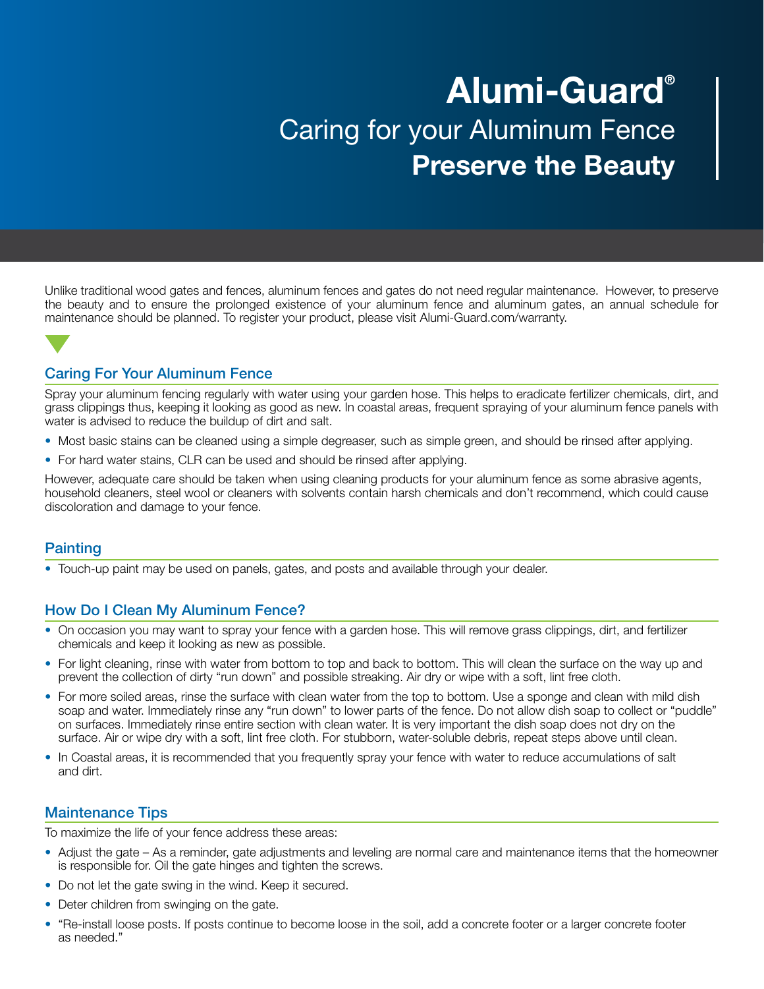# Alumi-Guard® Caring for your Aluminum Fence Preserve the Beauty

Unlike traditional wood gates and fences, aluminum fences and gates do not need regular maintenance. However, to preserve the beauty and to ensure the prolonged existence of your aluminum fence and aluminum gates, an annual schedule for maintenance should be planned. To register your product, please visit Alumi-Guard.com/warranty.

## Caring For Your Aluminum Fence

Spray your aluminum fencing regularly with water using your garden hose. This helps to eradicate fertilizer chemicals, dirt, and grass clippings thus, keeping it looking as good as new. In coastal areas, frequent spraying of your aluminum fence panels with water is advised to reduce the buildup of dirt and salt.

- Most basic stains can be cleaned using a simple degreaser, such as simple green, and should be rinsed after applying.
- For hard water stains, CLR can be used and should be rinsed after applying.

However, adequate care should be taken when using cleaning products for your aluminum fence as some abrasive agents, household cleaners, steel wool or cleaners with solvents contain harsh chemicals and don't recommend, which could cause discoloration and damage to your fence.

#### **Painting**

• Touch-up paint may be used on panels, gates, and posts and available through your dealer.

## How Do I Clean My Aluminum Fence?

- On occasion you may want to spray your fence with a garden hose. This will remove grass clippings, dirt, and fertilizer chemicals and keep it looking as new as possible.
- For light cleaning, rinse with water from bottom to top and back to bottom. This will clean the surface on the way up and prevent the collection of dirty "run down" and possible streaking. Air dry or wipe with a soft, lint free cloth.
- For more soiled areas, rinse the surface with clean water from the top to bottom. Use a sponge and clean with mild dish soap and water. Immediately rinse any "run down" to lower parts of the fence. Do not allow dish soap to collect or "puddle" on surfaces. Immediately rinse entire section with clean water. It is very important the dish soap does not dry on the surface. Air or wipe dry with a soft, lint free cloth. For stubborn, water-soluble debris, repeat steps above until clean.
- In Coastal areas, it is recommended that you frequently spray your fence with water to reduce accumulations of salt and dirt.

#### Maintenance Tips

To maximize the life of your fence address these areas:

- Adjust the gate As a reminder, gate adjustments and leveling are normal care and maintenance items that the homeowner is responsible for. Oil the gate hinges and tighten the screws.
- Do not let the gate swing in the wind. Keep it secured.
- Deter children from swinging on the gate.
- "Re-install loose posts. If posts continue to become loose in the soil, add a concrete footer or a larger concrete footer as needed."